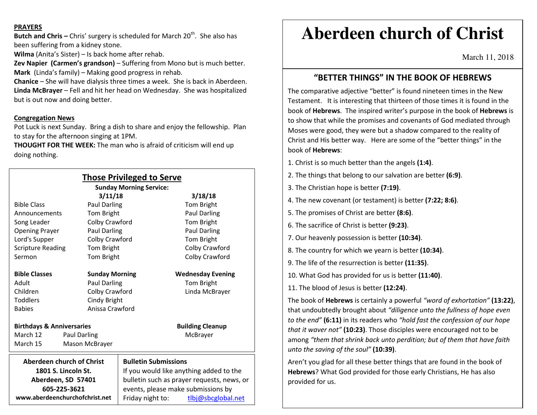#### **PRAYERS**

**Butch and Chris –** Chris' surgery is scheduled for March 20<sup>th</sup>. She also has been suffering from a kidney stone.

**Wilma** (Anita's Sister) – Is back home after rehab.

**Zev Napier (Carmen's grandson)** – Suffering from Mono but is much better. **Mark** (Linda's family) – Making good progress in rehab.

**Chanice** – She will have dialysis three times a week. She is back in Aberdeen. **Linda McBrayer** – Fell and hit her head on Wednesday. She was hospitalized but is out now and doing better.

### **Congregation News**

 Pot Luck is next Sunday. Bring a dish to share and enjoy the fellowship. Plan to stay for the afternoon singing at 1PM.

**THOUGHT FOR THE WEEK:** The man who is afraid of criticism will end up doing nothing.

| <b>Those Privileged to Serve</b><br><b>Sunday Morning Service:</b> |                     |                                            |                          |
|--------------------------------------------------------------------|---------------------|--------------------------------------------|--------------------------|
|                                                                    | 3/11/18             |                                            | 3/18/18                  |
| <b>Bible Class</b><br><b>Paul Darling</b>                          |                     |                                            | Tom Bright               |
| Tom Bright<br>Announcements                                        |                     |                                            | Paul Darling             |
| Colby Crawford<br>Song Leader                                      |                     |                                            | Tom Bright               |
| <b>Opening Prayer</b>                                              | <b>Paul Darling</b> |                                            | <b>Paul Darling</b>      |
| Lord's Supper                                                      | Colby Crawford      |                                            | Tom Bright               |
| <b>Scripture Reading</b>                                           | Tom Bright          |                                            | Colby Crawford           |
| Sermon                                                             | <b>Tom Bright</b>   |                                            | Colby Crawford           |
| <b>Bible Classes</b><br><b>Sunday Morning</b>                      |                     |                                            | <b>Wednesday Evening</b> |
| Adult                                                              | <b>Paul Darling</b> |                                            | Tom Bright               |
| Children                                                           | Colby Crawford      |                                            | Linda McBrayer           |
| <b>Toddlers</b>                                                    | Cindy Bright        |                                            |                          |
| <b>Babies</b>                                                      | Anissa Crawford     |                                            |                          |
| <b>Birthdays &amp; Anniversaries</b>                               |                     |                                            | <b>Building Cleanup</b>  |
| March 12<br>Paul Darling                                           |                     |                                            | McBrayer                 |
| March 15                                                           | Mason McBrayer      |                                            |                          |
| <b>Aberdeen church of Christ</b>                                   |                     | <b>Bulletin Submissions</b>                |                          |
| 1801 S. Lincoln St.                                                |                     | If you would like anything added to the    |                          |
| Aberdeen, SD 57401                                                 |                     | bulletin such as prayer requests, news, or |                          |
| 605-225-3621                                                       |                     | events, please make submissions by         |                          |
| www.aberdeenchurchofchrist.net                                     |                     | Friday night to:                           | tlbj@sbcglobal.net       |

# **Aberdeen church of Christ**

March 11, 2018

## **"BETTER THINGS" IN THE BOOK OF HEBREWS**

The comparative adjective "better" is found nineteen times in the New Testament. It is interesting that thirteen of those times it is found in the book of **Hebrews**. The inspired writer's purpose in the book of **Hebrews** is to show that while the promises and covenants of God mediated through Moses were good, they were but a shadow compared to the reality of Christ and His better way. Here are some of the "better things" in the book of **Hebrews**:

- 1. Christ is so much better than the angels **(1:4)**.
- 2. The things that belong to our salvation are better **(6:9)**.
- 3. The Christian hope is better **(7:19)**.
- 4. The new covenant (or testament) is better **(7:22; 8:6)**.
- 5. The promises of Christ are better **(8:6)**.
- 6. The sacrifice of Christ is better **(9:23)**.
- 7. Our heavenly possession is better **(10:34)**.
- 8. The country for which we yearn is better **(10:34)**.
- 9. The life of the resurrection is better **(11:35)**.
- 10. What God has provided for us is better **(11:40)**.
- 11. The blood of Jesus is better **(12:24)**.

The book of **Hebrews** is certainly a powerful *"word of exhortation"* **(13:22)**, that undoubtedly brought about *"diligence unto the fullness of hope even to the end"* **(6:11)** in its readers who *"hold fast the confession of our hope that it waver not"* **(10:23)**. Those disciples were encouraged not to be among *"them that shrink back unto perdition; but of them that have faith unto the saving of the soul"* **(10:39)**.

Aren't you glad for all these better things that are found in the book of **Hebrews**? What God provided for those early Christians, He has also provided for us.